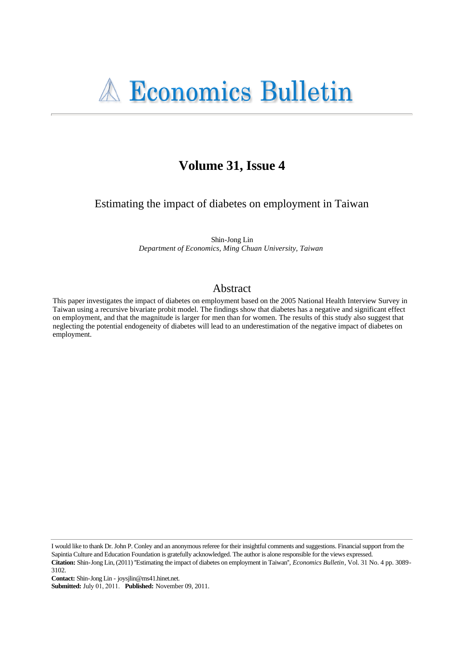# Volume 31, Issue 4

Estimating the impact of diabetes on employment in Taiwan

Shin-Jong Lin Department of Economics, Ming Chuan University, Taiwan

# Abstract

This paper investigates the impact of diabetes on employment based on the 2005 National Health Interview Survey in Taiwan using a recursive bivariate probit model. The findings show that diabetes has a negative and significant effect on employment, and that the magnitude is larger for men than for women. The results of this study also suggest that neglecting the potential endogeneity of diabetes will lead to an underestimation of the negative impact of diabetes on employment.

I would like to thank Dr. John P. Conley and an anonymous referee for their insightful comments and suggestions. Financial support from the Sapintia Culture and Education Foundation is gratefully acknowledged. The author is alone responsible for the views expressed. Citation: Shin-Jong Lin, (2011) "Estimating the impact of diabetes on employment in Taiwan", Economics Bulletin, Vol. 31 No. 4 pp. 3089-3102.

Contact: Shin-Jong Lin - joysjlin@ms41.hinet.net.

Submitted: July 01, 2011. Published: November 09, 2011.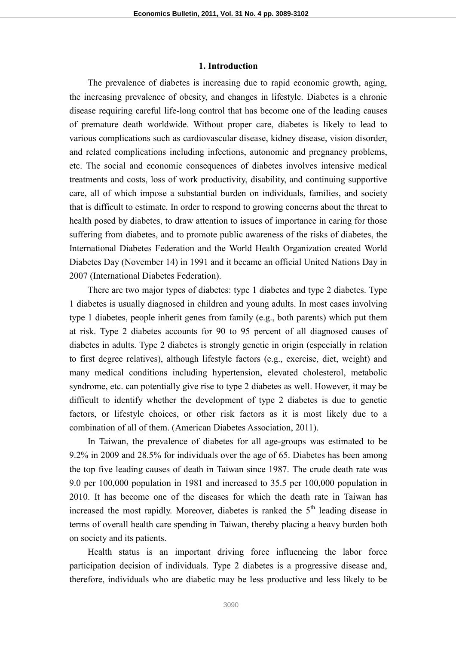#### **1. Introduction**

The prevalence of diabetes is increasing due to rapid economic growth, aging, the increasing prevalence of obesity, and changes in lifestyle. Diabetes is a chronic disease requiring careful life-long control that has become one of the leading causes of premature death worldwide. Without proper care, diabetes is likely to lead to various complications such as cardiovascular disease, kidney disease, vision disorder, and related complications including infections, autonomic and pregnancy problems, etc. The social and economic consequences of diabetes involves intensive medical treatments and costs, loss of work productivity, disability, and continuing supportive care, all of which impose a substantial burden on individuals, families, and society that is difficult to estimate. In order to respond to growing concerns about the threat to health posed by diabetes, to draw attention to issues of importance in caring for those suffering from diabetes, and to promote public awareness of the risks of diabetes, the International Diabetes Federation and the World Health Organization created World Diabetes Day (November 14) in 1991 and it became an official United Nations Day in 2007 (International Diabetes Federation).

There are two major types of diabetes: type 1 diabetes and type 2 diabetes. Type 1 diabetes is usually diagnosed in children and young adults. In most cases involving type 1 diabetes, people inherit genes from family (e.g., both parents) which put them at risk. Type 2 diabetes accounts for 90 to 95 percent of all diagnosed causes of diabetes in adults. Type 2 diabetes is strongly genetic in origin (especially in relation to first degree relatives), although lifestyle factors (e.g., exercise, diet, weight) and many medical conditions including hypertension, elevated cholesterol, metabolic syndrome, etc. can potentially give rise to type 2 diabetes as well. However, it may be difficult to identify whether the development of type 2 diabetes is due to genetic factors, or lifestyle choices, or other risk factors as it is most likely due to a combination of all of them. (American Diabetes Association, 2011).

In Taiwan, the prevalence of diabetes for all age-groups was estimated to be 9.2% in 2009 and 28.5% for individuals over the age of 65. Diabetes has been among the top five leading causes of death in Taiwan since 1987. The crude death rate was 9.0 per 100,000 population in 1981 and increased to 35.5 per 100,000 population in 2010. It has become one of the diseases for which the death rate in Taiwan has increased the most rapidly. Moreover, diabetes is ranked the  $5<sup>th</sup>$  leading disease in terms of overall health care spending in Taiwan, thereby placing a heavy burden both on society and its patients.

Health status is an important driving force influencing the labor force participation decision of individuals. Type 2 diabetes is a progressive disease and, therefore, individuals who are diabetic may be less productive and less likely to be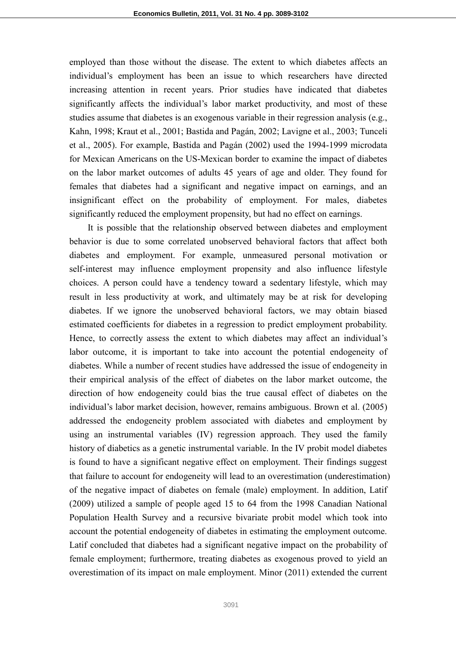employed than those without the disease. The extent to which diabetes affects an individual's employment has been an issue to which researchers have directed increasing attention in recent years. Prior studies have indicated that diabetes significantly affects the individual's labor market productivity, and most of these studies assume that diabetes is an exogenous variable in their regression analysis (e.g., Kahn, 1998; Kraut et al., 2001; Bastida and Pagán, 2002; Lavigne et al., 2003; Tunceli et al., 2005). For example, Bastida and Pagán (2002) used the 1994-1999 microdata for Mexican Americans on the US-Mexican border to examine the impact of diabetes on the labor market outcomes of adults 45 years of age and older. They found for females that diabetes had a significant and negative impact on earnings, and an insignificant effect on the probability of employment. For males, diabetes significantly reduced the employment propensity, but had no effect on earnings.

It is possible that the relationship observed between diabetes and employment behavior is due to some correlated unobserved behavioral factors that affect both diabetes and employment. For example, unmeasured personal motivation or self-interest may influence employment propensity and also influence lifestyle choices. A person could have a tendency toward a sedentary lifestyle, which may result in less productivity at work, and ultimately may be at risk for developing diabetes. If we ignore the unobserved behavioral factors, we may obtain biased estimated coefficients for diabetes in a regression to predict employment probability. Hence, to correctly assess the extent to which diabetes may affect an individual's labor outcome, it is important to take into account the potential endogeneity of diabetes. While a number of recent studies have addressed the issue of endogeneity in their empirical analysis of the effect of diabetes on the labor market outcome, the direction of how endogeneity could bias the true causal effect of diabetes on the individual's labor market decision, however, remains ambiguous. Brown et al. (2005) addressed the endogeneity problem associated with diabetes and employment by using an instrumental variables (IV) regression approach. They used the family history of diabetics as a genetic instrumental variable. In the IV probit model diabetes is found to have a significant negative effect on employment. Their findings suggest that failure to account for endogeneity will lead to an overestimation (underestimation) of the negative impact of diabetes on female (male) employment. In addition, Latif (2009) utilized a sample of people aged 15 to 64 from the 1998 Canadian National Population Health Survey and a recursive bivariate probit model which took into account the potential endogeneity of diabetes in estimating the employment outcome. Latif concluded that diabetes had a significant negative impact on the probability of female employment; furthermore, treating diabetes as exogenous proved to yield an overestimation of its impact on male employment. Minor (2011) extended the current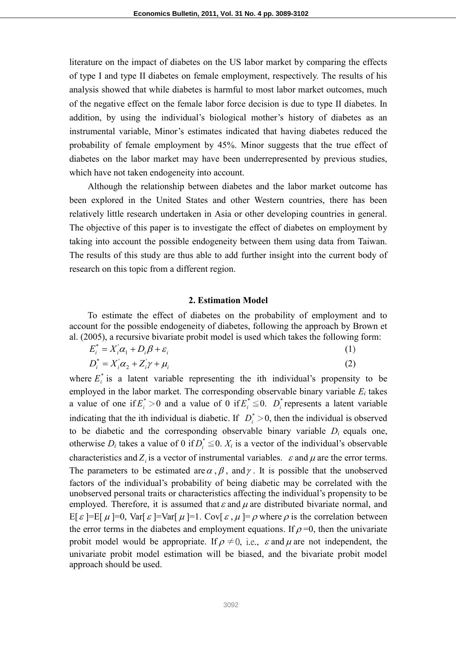literature on the impact of diabetes on the US labor market by comparing the effects of type I and type II diabetes on female employment, respectively. The results of his analysis showed that while diabetes is harmful to most labor market outcomes, much of the negative effect on the female labor force decision is due to type II diabetes. In addition, by using the individual's biological mother's history of diabetes as an instrumental variable, Minor's estimates indicated that having diabetes reduced the probability of female employment by 45%. Minor suggests that the true effect of diabetes on the labor market may have been underrepresented by previous studies, which have not taken endogeneity into account.

Although the relationship between diabetes and the labor market outcome has been explored in the United States and other Western countries, there has been relatively little research undertaken in Asia or other developing countries in general. The objective of this paper is to investigate the effect of diabetes on employment by taking into account the possible endogeneity between them using data from Taiwan. The results of this study are thus able to add further insight into the current body of research on this topic from a different region.

#### **2. Estimation Model**

To estimate the effect of diabetes on the probability of employment and to account for the possible endogeneity of diabetes, following the approach by Brown et al. (2005), a recursive bivariate probit model is used which takes the following form:

$$
E_i^* = X_i' \alpha_1 + D_i \beta + \varepsilon_i
$$
 (1)

$$
D_i^* = X_i \alpha_2 + Z_i \gamma + \mu_i \tag{2}
$$

where  $E_i^*$  is a latent variable representing the ith individual's propensity to be employed in the labor market. The corresponding observable binary variable  $E_i$  takes a value of one if  $E_i^* > 0$  and a value of 0 if  $E_i^* \leq 0$ .  $D_i^*$  represents a latent variable indicating that the ith individual is diabetic. If  $D_i^* > 0$ , then the individual is observed to be diabetic and the corresponding observable binary variable  $D_i$  equals one, otherwise  $D_i$  takes a value of 0 if  $D_i^* \leq 0$ .  $X_i$  is a vector of the individual's observable characteristics and  $Z_i$  is a vector of instrumental variables.  $\varepsilon$  and  $\mu$  are the error terms. The parameters to be estimated are  $\alpha$ ,  $\beta$ , and  $\gamma$ . It is possible that the unobserved factors of the individual's probability of being diabetic may be correlated with the unobserved personal traits or characteristics affecting the individual's propensity to be employed. Therefore, it is assumed that  $\varepsilon$  and  $\mu$  are distributed bivariate normal, and E[ $\epsilon$ ]=E[ $\mu$ ]=0, Var[ $\epsilon$ ]=Var[ $\mu$ ]=1. Cov[ $\epsilon$ ,  $\mu$ ]= $\rho$  where  $\rho$  is the correlation between the error terms in the diabetes and employment equations. If  $\rho = 0$ , then the univariate probit model would be appropriate. If  $\rho \neq 0$ , i.e.,  $\varepsilon$  and  $\mu$  are not independent, the univariate probit model estimation will be biased, and the bivariate probit model approach should be used.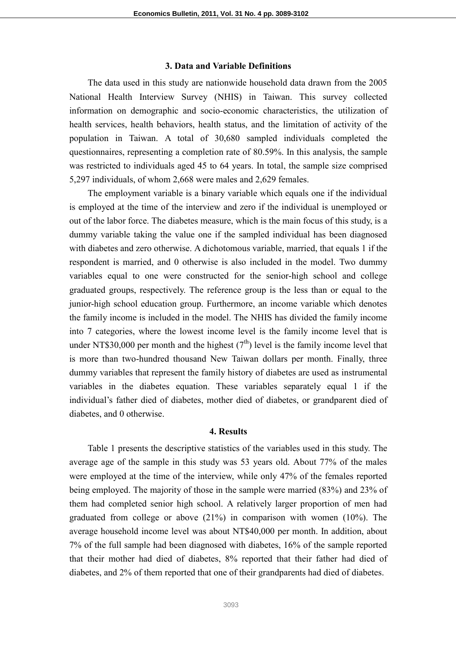### **3. Data and Variable Definitions**

The data used in this study are nationwide household data drawn from the 2005 National Health Interview Survey (NHIS) in Taiwan. This survey collected information on demographic and socio-economic characteristics, the utilization of health services, health behaviors, health status, and the limitation of activity of the population in Taiwan. A total of 30,680 sampled individuals completed the questionnaires, representing a completion rate of 80.59%. In this analysis, the sample was restricted to individuals aged 45 to 64 years. In total, the sample size comprised 5,297 individuals, of whom 2,668 were males and 2,629 females.

The employment variable is a binary variable which equals one if the individual is employed at the time of the interview and zero if the individual is unemployed or out of the labor force. The diabetes measure, which is the main focus of this study, is a dummy variable taking the value one if the sampled individual has been diagnosed with diabetes and zero otherwise. A dichotomous variable, married, that equals 1 if the respondent is married, and 0 otherwise is also included in the model. Two dummy variables equal to one were constructed for the senior-high school and college graduated groups, respectively. The reference group is the less than or equal to the junior-high school education group. Furthermore, an income variable which denotes the family income is included in the model. The NHIS has divided the family income into 7 categories, where the lowest income level is the family income level that is under NT\$30,000 per month and the highest  $(7<sup>th</sup>)$  level is the family income level that is more than two-hundred thousand New Taiwan dollars per month. Finally, three dummy variables that represent the family history of diabetes are used as instrumental variables in the diabetes equation. These variables separately equal 1 if the individual's father died of diabetes, mother died of diabetes, or grandparent died of diabetes, and 0 otherwise.

## **4. Results**

Table 1 presents the descriptive statistics of the variables used in this study. The average age of the sample in this study was 53 years old. About 77% of the males were employed at the time of the interview, while only 47% of the females reported being employed. The majority of those in the sample were married (83%) and 23% of them had completed senior high school. A relatively larger proportion of men had graduated from college or above (21%) in comparison with women (10%). The average household income level was about NT\$40,000 per month. In addition, about 7% of the full sample had been diagnosed with diabetes, 16% of the sample reported that their mother had died of diabetes, 8% reported that their father had died of diabetes, and 2% of them reported that one of their grandparents had died of diabetes.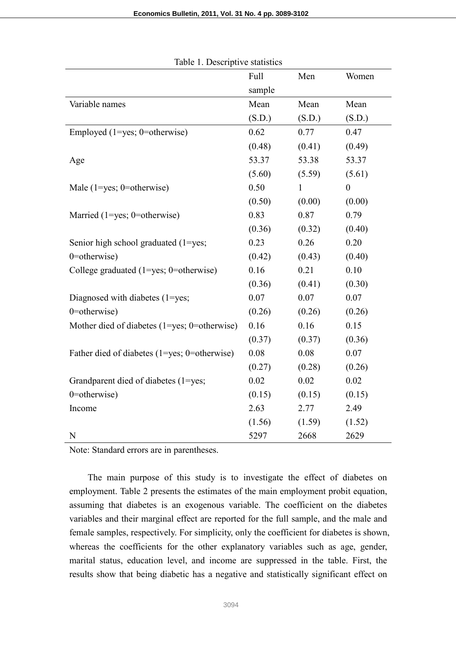|                                              | Full   | Men    | Women            |
|----------------------------------------------|--------|--------|------------------|
|                                              | sample |        |                  |
| Variable names                               | Mean   | Mean   | Mean             |
|                                              | (S.D.) | (S.D.) | (S.D.)           |
| Employed $(1 = yes; 0 = otherwise)$          | 0.62   | 0.77   | 0.47             |
|                                              | (0.48) | (0.41) | (0.49)           |
| Age                                          | 53.37  | 53.38  | 53.37            |
|                                              | (5.60) | (5.59) | (5.61)           |
| Male $(1 = yes; 0 = otherwise)$              | 0.50   | 1      | $\boldsymbol{0}$ |
|                                              | (0.50) | (0.00) | (0.00)           |
| Married $(1 = yes; 0 = otherwise)$           | 0.83   | 0.87   | 0.79             |
|                                              | (0.36) | (0.32) | (0.40)           |
| Senior high school graduated (1=yes;         | 0.23   | 0.26   | 0.20             |
| $0$ =otherwise)                              | (0.42) | (0.43) | (0.40)           |
| College graduated $(1 = yes; 0 = otherwise)$ | 0.16   | 0.21   | 0.10             |
|                                              | (0.36) | (0.41) | (0.30)           |
| Diagnosed with diabetes (1=yes;              | 0.07   | 0.07   | 0.07             |
| 0=otherwise)                                 | (0.26) | (0.26) | (0.26)           |
| Mother died of diabetes (1=yes; 0=otherwise) | 0.16   | 0.16   | 0.15             |
|                                              | (0.37) | (0.37) | (0.36)           |
| Father died of diabetes (1=yes; 0=otherwise) | 0.08   | 0.08   | 0.07             |
|                                              | (0.27) | (0.28) | (0.26)           |
| Grandparent died of diabetes (1=yes;         | 0.02   | 0.02   | 0.02             |
| 0=otherwise)                                 | (0.15) | (0.15) | (0.15)           |
| Income                                       | 2.63   | 2.77   | 2.49             |
|                                              | (1.56) | (1.59) | (1.52)           |
| N                                            | 5297   | 2668   | 2629             |

Table 1. Descriptive statistics

Note: Standard errors are in parentheses.

The main purpose of this study is to investigate the effect of diabetes on employment. Table 2 presents the estimates of the main employment probit equation, assuming that diabetes is an exogenous variable. The coefficient on the diabetes variables and their marginal effect are reported for the full sample, and the male and female samples, respectively. For simplicity, only the coefficient for diabetes is shown, whereas the coefficients for the other explanatory variables such as age, gender, marital status, education level, and income are suppressed in the table. First, the results show that being diabetic has a negative and statistically significant effect on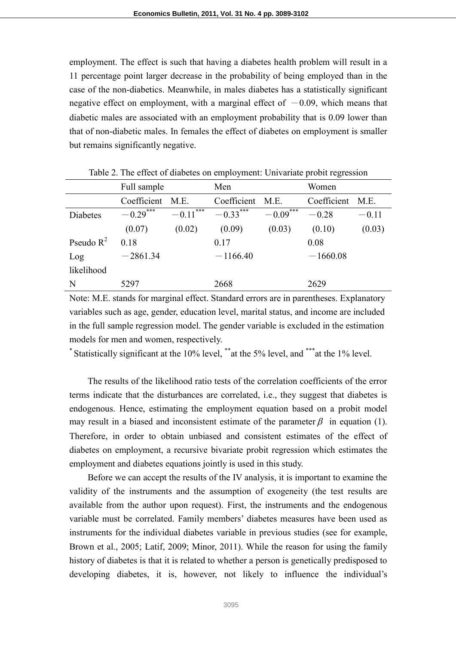employment. The effect is such that having a diabetes health problem will result in a 11 percentage point larger decrease in the probability of being employed than in the case of the non-diabetics. Meanwhile, in males diabetes has a statistically significant negative effect on employment, with a marginal effect of  $-0.09$ , which means that diabetic males are associated with an employment probability that is 0.09 lower than that of non-diabetic males. In females the effect of diabetes on employment is smaller but remains significantly negative.

|              | Full sample            |                         | Men         |            | Women       |         |
|--------------|------------------------|-------------------------|-------------|------------|-------------|---------|
|              | Coefficient            | M.E.                    | Coefficient | M.E.       | Coefficient | M.E.    |
| Diabetes     | $-0.29$ <sup>***</sup> | $-0.11$ <sup>****</sup> | $-0.33***$  | $-0.09***$ | $-0.28$     | $-0.11$ |
|              | (0.07)                 | (0.02)                  | (0.09)      | (0.03)     | (0.10)      | (0.03)  |
| Pseudo $R^2$ | 0.18                   |                         | 0.17        |            | 0.08        |         |
| Log          | $-2861.34$             |                         | $-1166.40$  |            | $-1660.08$  |         |
| likelihood   |                        |                         |             |            |             |         |
| N            | 5297                   |                         | 2668        |            | 2629        |         |

Table 2. The effect of diabetes on employment: Univariate probit regression

Note: M.E. stands for marginal effect. Standard errors are in parentheses. Explanatory variables such as age, gender, education level, marital status, and income are included in the full sample regression model. The gender variable is excluded in the estimation models for men and women, respectively.

\* Statistically significant at the 10% level, \*\*at the 5% level, and \*\*\*at the 1% level.

The results of the likelihood ratio tests of the correlation coefficients of the error terms indicate that the disturbances are correlated, i.e., they suggest that diabetes is endogenous. Hence, estimating the employment equation based on a probit model may result in a biased and inconsistent estimate of the parameter  $\beta$  in equation (1). Therefore, in order to obtain unbiased and consistent estimates of the effect of diabetes on employment, a recursive bivariate probit regression which estimates the employment and diabetes equations jointly is used in this study.

Before we can accept the results of the IV analysis, it is important to examine the validity of the instruments and the assumption of exogeneity (the test results are available from the author upon request). First, the instruments and the endogenous variable must be correlated. Family members' diabetes measures have been used as instruments for the individual diabetes variable in previous studies (see for example, Brown et al., 2005; Latif, 2009; Minor, 2011). While the reason for using the family history of diabetes is that it is related to whether a person is genetically predisposed to developing diabetes, it is, however, not likely to influence the individual's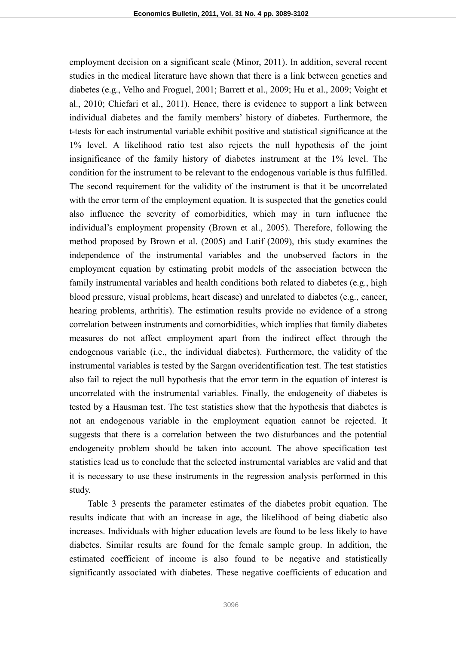employment decision on a significant scale (Minor, 2011). In addition, several recent studies in the medical literature have shown that there is a link between genetics and diabetes (e.g., Velho and Froguel, 2001; Barrett et al., 2009; Hu et al., 2009; Voight et al., 2010; Chiefari et al., 2011). Hence, there is evidence to support a link between individual diabetes and the family members' history of diabetes. Furthermore, the t-tests for each instrumental variable exhibit positive and statistical significance at the 1% level. A likelihood ratio test also rejects the null hypothesis of the joint insignificance of the family history of diabetes instrument at the 1% level. The condition for the instrument to be relevant to the endogenous variable is thus fulfilled. The second requirement for the validity of the instrument is that it be uncorrelated with the error term of the employment equation. It is suspected that the genetics could also influence the severity of comorbidities, which may in turn influence the individual's employment propensity (Brown et al., 2005). Therefore, following the method proposed by Brown et al. (2005) and Latif (2009), this study examines the independence of the instrumental variables and the unobserved factors in the employment equation by estimating probit models of the association between the family instrumental variables and health conditions both related to diabetes (e.g., high blood pressure, visual problems, heart disease) and unrelated to diabetes (e.g., cancer, hearing problems, arthritis). The estimation results provide no evidence of a strong correlation between instruments and comorbidities, which implies that family diabetes measures do not affect employment apart from the indirect effect through the endogenous variable (i.e., the individual diabetes). Furthermore, the validity of the instrumental variables is tested by the Sargan overidentification test. The test statistics also fail to reject the null hypothesis that the error term in the equation of interest is uncorrelated with the instrumental variables. Finally, the endogeneity of diabetes is tested by a Hausman test. The test statistics show that the hypothesis that diabetes is not an endogenous variable in the employment equation cannot be rejected. It suggests that there is a correlation between the two disturbances and the potential endogeneity problem should be taken into account. The above specification test statistics lead us to conclude that the selected instrumental variables are valid and that it is necessary to use these instruments in the regression analysis performed in this study.

Table 3 presents the parameter estimates of the diabetes probit equation. The results indicate that with an increase in age, the likelihood of being diabetic also increases. Individuals with higher education levels are found to be less likely to have diabetes. Similar results are found for the female sample group. In addition, the estimated coefficient of income is also found to be negative and statistically significantly associated with diabetes. These negative coefficients of education and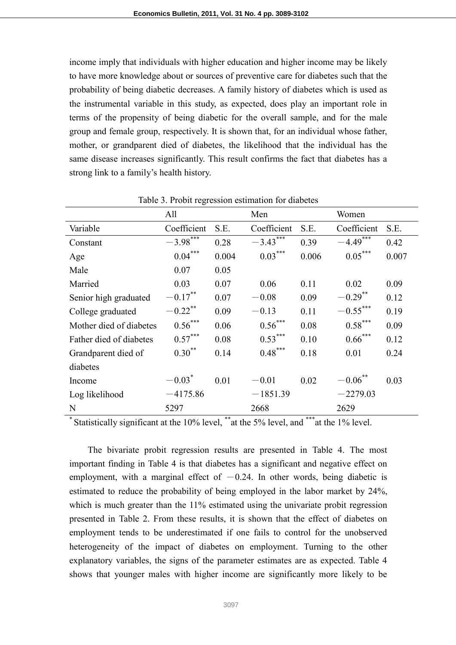income imply that individuals with higher education and higher income may be likely to have more knowledge about or sources of preventive care for diabetes such that the probability of being diabetic decreases. A family history of diabetes which is used as the instrumental variable in this study, as expected, does play an important role in terms of the propensity of being diabetic for the overall sample, and for the male group and female group, respectively. It is shown that, for an individual whose father, mother, or grandparent died of diabetes, the likelihood that the individual has the same disease increases significantly. This result confirms the fact that diabetes has a strong link to a family's health history.

|                         | All         |       | Men         |       | Women              |       |
|-------------------------|-------------|-------|-------------|-------|--------------------|-------|
| Variable                | Coefficient | S.E.  | Coefficient | S.E.  | Coefficient        | S.E.  |
| Constant                | $-3.98***$  | 0.28  | $-3.43***$  | 0.39  | $-4.49***$         | 0.42  |
| Age                     | $0.04***$   | 0.004 | $0.03***$   | 0.006 | $0.05***$          | 0.007 |
| Male                    | 0.07        | 0.05  |             |       |                    |       |
| Married                 | 0.03        | 0.07  | 0.06        | 0.11  | 0.02               | 0.09  |
| Senior high graduated   | $-0.17***$  | 0.07  | $-0.08$     | 0.09  | $-0.29$ **         | 0.12  |
| College graduated       | $-0.22$ **  | 0.09  | $-0.13$     | 0.11  | $-0.55***$         | 0.19  |
| Mother died of diabetes | $0.56***$   | 0.06  | $0.56***$   | 0.08  | $0.58***$          | 0.09  |
| Father died of diabetes | $0.57***$   | 0.08  | $0.53***$   | 0.10  | $0.66$ ***         | 0.12  |
| Grandparent died of     | $0.30^{**}$ | 0.14  | $0.48***$   | 0.18  | 0.01               | 0.24  |
| diabetes                |             |       |             |       |                    |       |
| Income                  | $-0.03*$    | 0.01  | $-0.01$     | 0.02  | $-0.06^{\ast\ast}$ | 0.03  |
| Log likelihood          | $-4175.86$  |       | $-1851.39$  |       | $-2279.03$         |       |
| N                       | 5297        |       | 2668        |       | 2629               |       |

Table 3. Probit regression estimation for diabetes

\* Statistically significant at the 10% level, \*\*at the 5% level, and \*\*\*at the 1% level.

The bivariate probit regression results are presented in Table 4. The most important finding in Table 4 is that diabetes has a significant and negative effect on employment, with a marginal effect of  $-0.24$ . In other words, being diabetic is estimated to reduce the probability of being employed in the labor market by 24%, which is much greater than the 11% estimated using the univariate probit regression presented in Table 2. From these results, it is shown that the effect of diabetes on employment tends to be underestimated if one fails to control for the unobserved heterogeneity of the impact of diabetes on employment. Turning to the other explanatory variables, the signs of the parameter estimates are as expected. Table 4 shows that younger males with higher income are significantly more likely to be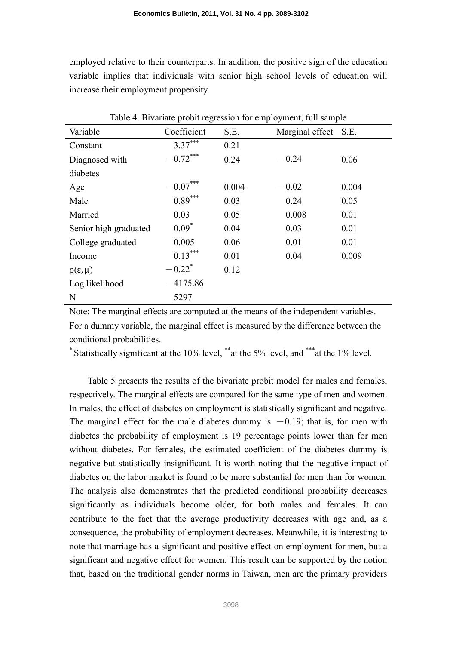employed relative to their counterparts. In addition, the positive sign of the education variable implies that individuals with senior high school levels of education will increase their employment propensity.

| Table 4. Bivariate probit regression for employment, full sample |                        |       |                 |       |  |
|------------------------------------------------------------------|------------------------|-------|-----------------|-------|--|
| Variable                                                         | Coefficient            | S.E.  | Marginal effect | S.E.  |  |
| Constant                                                         | $3.37***$              | 0.21  |                 |       |  |
| Diagnosed with                                                   | $-0.72***$             | 0.24  | $-0.24$         | 0.06  |  |
| diabetes                                                         |                        |       |                 |       |  |
| Age                                                              | $-0.07^{\ast\ast\ast}$ | 0.004 | $-0.02$         | 0.004 |  |
| Male                                                             | $0.89***$              | 0.03  | 0.24            | 0.05  |  |
| Married                                                          | 0.03                   | 0.05  | 0.008           | 0.01  |  |
| Senior high graduated                                            | $0.09^*$               | 0.04  | 0.03            | 0.01  |  |
| College graduated                                                | 0.005                  | 0.06  | 0.01            | 0.01  |  |
| Income                                                           | $0.13***$              | 0.01  | 0.04            | 0.009 |  |
| $\rho(\varepsilon,\mu)$                                          | $-0.22$ <sup>*</sup>   | 0.12  |                 |       |  |
| Log likelihood                                                   | $-4175.86$             |       |                 |       |  |
| N                                                                | 5297                   |       |                 |       |  |

Table 4. Bivariate probit regression for employment, full sample

Note: The marginal effects are computed at the means of the independent variables. For a dummy variable, the marginal effect is measured by the difference between the conditional probabilities.

\* Statistically significant at the 10% level, \*\*at the 5% level, and \*\*\*at the 1% level.

Table 5 presents the results of the bivariate probit model for males and females, respectively. The marginal effects are compared for the same type of men and women. In males, the effect of diabetes on employment is statistically significant and negative. The marginal effect for the male diabetes dummy is  $-0.19$ ; that is, for men with diabetes the probability of employment is 19 percentage points lower than for men without diabetes. For females, the estimated coefficient of the diabetes dummy is negative but statistically insignificant. It is worth noting that the negative impact of diabetes on the labor market is found to be more substantial for men than for women. The analysis also demonstrates that the predicted conditional probability decreases significantly as individuals become older, for both males and females. It can contribute to the fact that the average productivity decreases with age and, as a consequence, the probability of employment decreases. Meanwhile, it is interesting to note that marriage has a significant and positive effect on employment for men, but a significant and negative effect for women. This result can be supported by the notion that, based on the traditional gender norms in Taiwan, men are the primary providers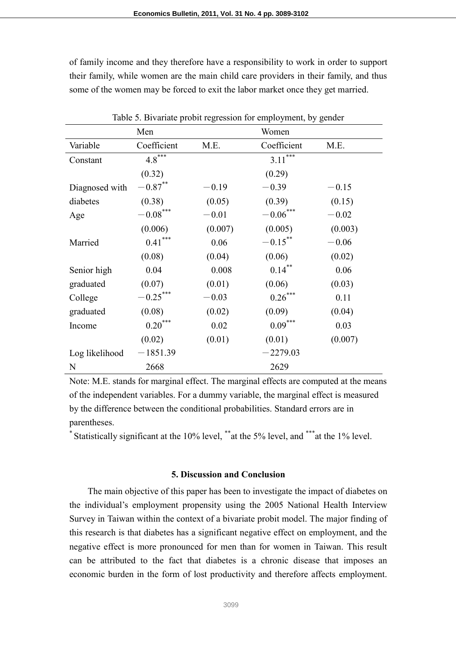of family income and they therefore have a responsibility to work in order to support their family, while women are the main child care providers in their family, and thus some of the women may be forced to exit the labor market once they get married.

| Table 5. Bivariate probit regression for employment, by gender |                        |         |                 |         |  |
|----------------------------------------------------------------|------------------------|---------|-----------------|---------|--|
|                                                                | Men<br>Women           |         |                 |         |  |
| Variable                                                       | Coefficient            | M.E.    | Coefficient     | M.E.    |  |
| Constant                                                       | $4.8^{***}$            |         | ***<br>3.11     |         |  |
|                                                                | (0.32)                 |         | (0.29)          |         |  |
| Diagnosed with                                                 | $-0.87$ **             | $-0.19$ | $-0.39$         | $-0.15$ |  |
| diabetes                                                       | (0.38)                 | (0.05)  | (0.39)          | (0.15)  |  |
| Age                                                            | $-0.08^{\ast\ast\ast}$ | $-0.01$ | $-0.06\sp{***}$ | $-0.02$ |  |
|                                                                | (0.006)                | (0.007) | (0.005)         | (0.003) |  |
| Married                                                        | $0.41***$              | 0.06    | $-0.15***$      | $-0.06$ |  |
|                                                                | (0.08)                 | (0.04)  | (0.06)          | (0.02)  |  |
| Senior high                                                    | 0.04                   | 0.008   | $0.14***$       | 0.06    |  |
| graduated                                                      | (0.07)                 | (0.01)  | (0.06)          | (0.03)  |  |
| College                                                        | $-0.25***$             | $-0.03$ | $0.26***$       | 0.11    |  |
| graduated                                                      | (0.08)                 | (0.02)  | (0.09)          | (0.04)  |  |
| Income                                                         | $0.20***$              | 0.02    | $0.09***$       | 0.03    |  |
|                                                                | (0.02)                 | (0.01)  | (0.01)          | (0.007) |  |
| Log likelihood                                                 | $-1851.39$             |         | $-2279.03$      |         |  |
| N                                                              | 2668                   |         | 2629            |         |  |

Note: M.E. stands for marginal effect. The marginal effects are computed at the means of the independent variables. For a dummy variable, the marginal effect is measured by the difference between the conditional probabilities. Standard errors are in parentheses.

Statistically significant at the 10% level, \*\*at the 5% level, and \*\*\*at the 1% level.

## **5. Discussion and Conclusion**

The main objective of this paper has been to investigate the impact of diabetes on the individual's employment propensity using the 2005 National Health Interview Survey in Taiwan within the context of a bivariate probit model. The major finding of this research is that diabetes has a significant negative effect on employment, and the negative effect is more pronounced for men than for women in Taiwan. This result can be attributed to the fact that diabetes is a chronic disease that imposes an economic burden in the form of lost productivity and therefore affects employment.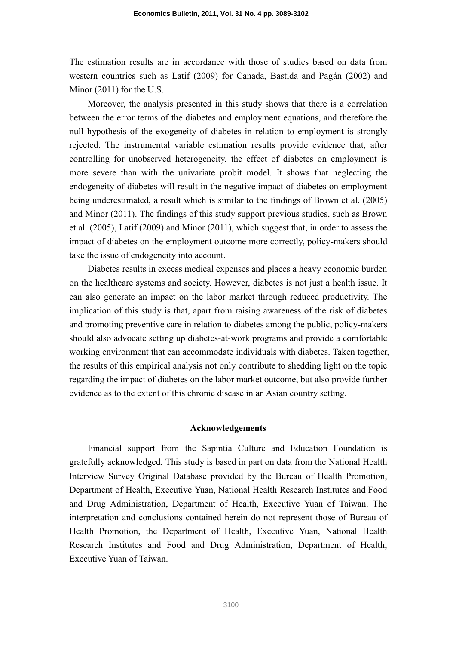The estimation results are in accordance with those of studies based on data from western countries such as Latif (2009) for Canada, Bastida and Pagán (2002) and Minor (2011) for the U.S.

Moreover, the analysis presented in this study shows that there is a correlation between the error terms of the diabetes and employment equations, and therefore the null hypothesis of the exogeneity of diabetes in relation to employment is strongly rejected. The instrumental variable estimation results provide evidence that, after controlling for unobserved heterogeneity, the effect of diabetes on employment is more severe than with the univariate probit model. It shows that neglecting the endogeneity of diabetes will result in the negative impact of diabetes on employment being underestimated, a result which is similar to the findings of Brown et al. (2005) and Minor (2011). The findings of this study support previous studies, such as Brown et al. (2005), Latif (2009) and Minor (2011), which suggest that, in order to assess the impact of diabetes on the employment outcome more correctly, policy-makers should take the issue of endogeneity into account.

Diabetes results in excess medical expenses and places a heavy economic burden on the healthcare systems and society. However, diabetes is not just a health issue. It can also generate an impact on the labor market through reduced productivity. The implication of this study is that, apart from raising awareness of the risk of diabetes and promoting preventive care in relation to diabetes among the public, policy-makers should also advocate setting up diabetes-at-work programs and provide a comfortable working environment that can accommodate individuals with diabetes. Taken together, the results of this empirical analysis not only contribute to shedding light on the topic regarding the impact of diabetes on the labor market outcome, but also provide further evidence as to the extent of this chronic disease in an Asian country setting.

#### **Acknowledgements**

Financial support from the Sapintia Culture and Education Foundation is gratefully acknowledged. This study is based in part on data from the National Health Interview Survey Original Database provided by the Bureau of Health Promotion, Department of Health, Executive Yuan, National Health Research Institutes and Food and Drug Administration, Department of Health, Executive Yuan of Taiwan. The interpretation and conclusions contained herein do not represent those of Bureau of Health Promotion, the Department of Health, Executive Yuan, National Health Research Institutes and Food and Drug Administration, Department of Health, Executive Yuan of Taiwan.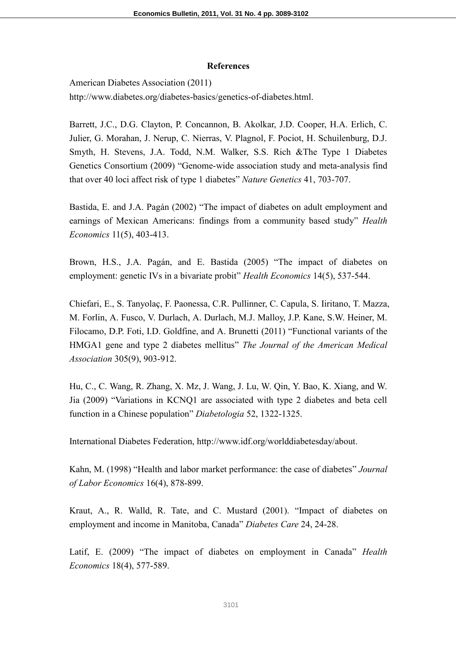### **References**

American Diabetes Association (2011) http://www.diabetes.org/diabetes-basics/genetics-of-diabetes.html.

Barrett, J.C., D.G. Clayton, P. Concannon, B. Akolkar, J.D. Cooper, H.A. Erlich, C. Julier, G. Morahan, J. Nerup, C. Nierras, V. Plagnol, F. Pociot, H. Schuilenburg, D.J. Smyth, H. Stevens, J.A. Todd, N.M. Walker, S.S. Rich &The Type 1 Diabetes Genetics Consortium (2009) "Genome-wide association study and meta-analysis find that over 40 loci affect risk of type 1 diabetes" *Nature Genetics* 41, 703-707.

Bastida, E. and J.A. Pagán (2002) "The impact of diabetes on adult employment and earnings of Mexican Americans: findings from a community based study" *Health Economics* 11(5), 403-413.

Brown, H.S., J.A. Pagán, and E. Bastida (2005) "The impact of diabetes on employment: genetic IVs in a bivariate probit" *Health Economics* 14(5), 537-544.

Chiefari, E., S. Tanyolaç, F. Paonessa, C.R. Pullinner, C. Capula, S. Iiritano, T. Mazza, M. Forlin, A. Fusco, V. Durlach, A. Durlach, M.J. Malloy, J.P. Kane, S.W. Heiner, M. Filocamo, D.P. Foti, I.D. Goldfine, and A. Brunetti (2011) "Functional variants of the HMGA1 gene and type 2 diabetes mellitus" *The Journal of the American Medical Association* 305(9), 903-912.

Hu, C., C. Wang, R. Zhang, X. Mz, J. Wang, J. Lu, W. Qin, Y. Bao, K. Xiang, and W. Jia (2009) "Variations in KCNQ1 are associated with type 2 diabetes and beta cell function in a Chinese population" *Diabetologia* 52, 1322-1325.

International Diabetes Federation, http://www.idf.org/worlddiabetesday/about.

Kahn, M. (1998) "Health and labor market performance: the case of diabetes" *Journal of Labor Economics* 16(4), 878-899.

Kraut, A., R. Walld, R. Tate, and C. Mustard (2001). "Impact of diabetes on employment and income in Manitoba, Canada" *Diabetes Care* 24, 24-28.

Latif, E. (2009) "The impact of diabetes on employment in Canada" *Health Economics* 18(4), 577-589.